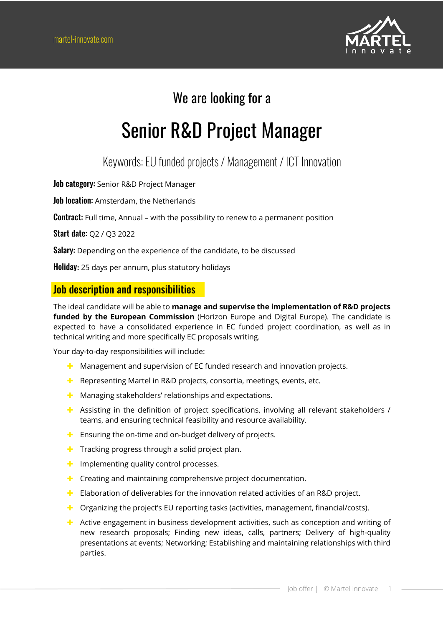

# We are looking for a

# Senior R&D Project Manager

## Keywords:EU funded projects / Management / ICT Innovation

Job category: Senior R&D Project Manager

Job location: Amsterdam, the Netherlands

**Contract:** Full time, Annual – with the possibility to renew to a permanent position

Start date: Q2 / Q3 2022

Salary: Depending on the experience of the candidate, to be discussed

Holiday**:** 25 days per annum, plus statutory holidays

#### Job description and responsibilities

The ideal candidate will be able to **manage and supervise the implementation of R&D projects funded by the European Commission** (Horizon Europe and Digital Europe). The candidate is expected to have a consolidated experience in EC funded project coordination, as well as in technical writing and more specifically EC proposals writing.

Your day-to-day responsibilities will include:

- $\pm$  Management and supervision of EC funded research and innovation projects.
- $\pm$  Representing Martel in R&D projects, consortia, meetings, events, etc.
- $\pm$  Managing stakeholders' relationships and expectations.
- $\pm$  Assisting in the definition of project specifications, involving all relevant stakeholders / teams, and ensuring technical feasibility and resource availability.
- $\div$  Ensuring the on-time and on-budget delivery of projects.
- $\pm$  Tracking progress through a solid project plan.
- $\div$  Implementing quality control processes.
- $\pm$  Creating and maintaining comprehensive project documentation.
- $\pm$  Elaboration of deliverables for the innovation related activities of an R&D project.
- $\blacktriangle$  Organizing the project's EU reporting tasks (activities, management, financial/costs).
- $\pm$  Active engagement in business development activities, such as conception and writing of new research proposals; Finding new ideas, calls, partners; Delivery of high-quality presentations at events; Networking; Establishing and maintaining relationships with third parties.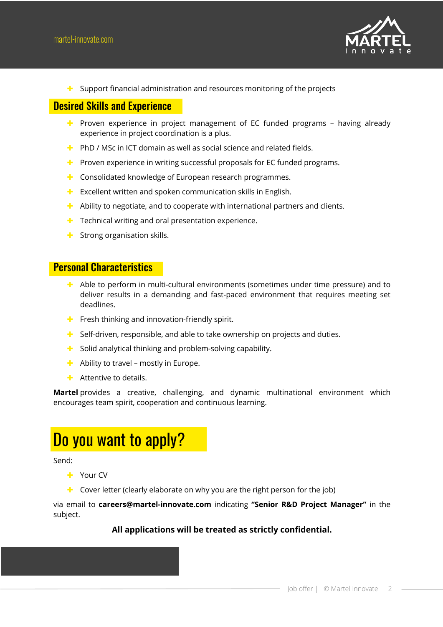

 $\blacktriangle$  Support financial administration and resources monitoring of the projects

### Desired Skills and Experience

- $\pm$  Proven experience in project management of EC funded programs having already experience in project coordination is a plus.
- $\div$  PhD / MSc in ICT domain as well as social science and related fields.
- $\pm$  Proven experience in writing successful proposals for EC funded programs.
- $\pm$  Consolidated knowledge of European research programmes.
- $\pm$  Excellent written and spoken communication skills in English.
- $\blacktriangle$  Ability to negotiate, and to cooperate with international partners and clients.
- $\div$  Technical writing and oral presentation experience.
- $\div$  Strong organisation skills.

#### Personal Characteristics

- $\pm$  Able to perform in multi-cultural environments (sometimes under time pressure) and to deliver results in a demanding and fast-paced environment that requires meeting set deadlines.
- $\div$  Fresh thinking and innovation-friendly spirit.
- $\blacktriangle$  Self-driven, responsible, and able to take ownership on projects and duties.
- $\pm$  Solid analytical thinking and problem-solving capability.
- $\div$  Ability to travel mostly in Europe.
- $\blacktriangle$  Attentive to details.

**Martel** provides a creative, challenging, and dynamic multinational environment which encourages team spirit, cooperation and continuous learning.

# Do you want to apply?

Send:

- + Your CV
- $\pm$  Cover letter (clearly elaborate on why you are the right person for the job)

via email to **careers@martel-innovate.com** indicating **"Senior R&D Project Manager"** in the subject.

#### **All applications will be treated as strictly confidential.**